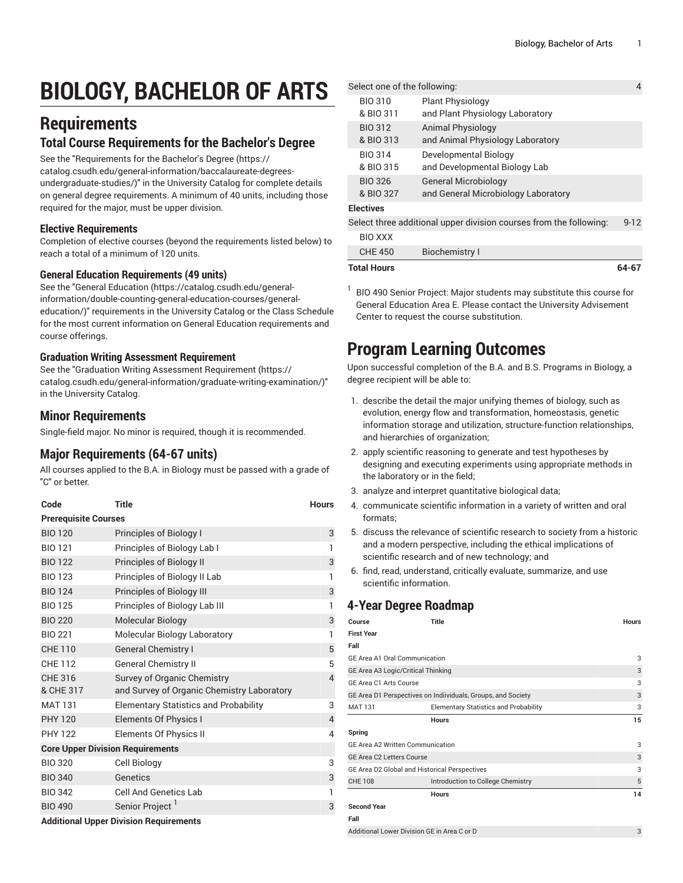# **BIOLOGY, BACHELOR OF ARTS**

# **Requirements**

## **Total Course Requirements for the Bachelor's Degree**

See the "[Requirements](https://catalog.csudh.edu/general-information/baccalaureate-degrees-undergraduate-studies/) for the Bachelor's Degree [\(https://](https://catalog.csudh.edu/general-information/baccalaureate-degrees-undergraduate-studies/) [catalog.csudh.edu/general-information/baccalaureate-degrees](https://catalog.csudh.edu/general-information/baccalaureate-degrees-undergraduate-studies/)[undergraduate-studies/\)](https://catalog.csudh.edu/general-information/baccalaureate-degrees-undergraduate-studies/)" in the University Catalog for complete details on general degree requirements. A minimum of 40 units, including those required for the major, must be upper division.

#### **Elective Requirements**

Completion of elective courses (beyond the requirements listed below) to reach a total of a minimum of 120 units.

#### **General Education Requirements (49 units)**

See the "General [Education](https://catalog.csudh.edu/general-information/double-counting-general-education-courses/general-education/) ([https://catalog.csudh.edu/general](https://catalog.csudh.edu/general-information/double-counting-general-education-courses/general-education/)[information/double-counting-general-education-courses/general](https://catalog.csudh.edu/general-information/double-counting-general-education-courses/general-education/)[education/](https://catalog.csudh.edu/general-information/double-counting-general-education-courses/general-education/))" requirements in the University Catalog or the Class Schedule for the most current information on General Education requirements and course offerings.

#### **Graduation Writing Assessment Requirement**

See the "Graduation Writing Assessment [Requirement \(https://](https://catalog.csudh.edu/general-information/graduate-writing-examination/) [catalog.csudh.edu/general-information/graduate-writing-examination/\)](https://catalog.csudh.edu/general-information/graduate-writing-examination/)" in the University Catalog.

## **Minor Requirements**

Single-field major. No minor is required, though it is recommended.

# **Major Requirements (64-67 units)**

All courses applied to the B.A. in Biology must be passed with a grade of "C" or better.

| Code                                          | <b>Title</b>                                 | <b>Hours</b>   |  |  |  |
|-----------------------------------------------|----------------------------------------------|----------------|--|--|--|
| <b>Prerequisite Courses</b>                   |                                              |                |  |  |  |
| <b>BIO 120</b>                                | Principles of Biology I                      | 3              |  |  |  |
| <b>BIO 121</b>                                | Principles of Biology Lab I                  | 1              |  |  |  |
| <b>BIO 122</b>                                | Principles of Biology II                     | 3              |  |  |  |
| <b>BIO 123</b>                                | Principles of Biology II Lab                 | 1              |  |  |  |
| <b>BIO 124</b>                                | Principles of Biology III                    | 3              |  |  |  |
| <b>BIO 125</b>                                | Principles of Biology Lab III                | 1              |  |  |  |
| <b>BIO 220</b>                                | <b>Molecular Biology</b>                     | 3              |  |  |  |
| <b>BIO 221</b>                                | Molecular Biology Laboratory                 | 1              |  |  |  |
| <b>CHE 110</b>                                | <b>General Chemistry I</b>                   | 5              |  |  |  |
| CHF 112                                       | <b>General Chemistry II</b>                  | 5              |  |  |  |
| CHE 316                                       | Survey of Organic Chemistry                  | $\overline{4}$ |  |  |  |
| & CHE 317                                     | and Survey of Organic Chemistry Laboratory   |                |  |  |  |
| <b>MAT 131</b>                                | <b>Elementary Statistics and Probability</b> | 3              |  |  |  |
| <b>PHY 120</b>                                | <b>Elements Of Physics I</b>                 | 4              |  |  |  |
| <b>PHY 122</b>                                | <b>Elements Of Physics II</b>                | 4              |  |  |  |
| <b>Core Upper Division Requirements</b>       |                                              |                |  |  |  |
| <b>BIO 320</b>                                | Cell Biology                                 | 3              |  |  |  |
| <b>BIO 340</b>                                | Genetics                                     | 3              |  |  |  |
| <b>BIO 342</b>                                | <b>Cell And Genetics Lab</b>                 | 1              |  |  |  |
| <b>BIO 490</b>                                | Senior Project                               | 3              |  |  |  |
| <b>Additional Upper Division Requirements</b> |                                              |                |  |  |  |

```
Select one of the following: 4
  BIO 310
  & BIO 311
                Plant Physiology
                and Plant Physiology Laboratory
  BIO 312
  & BIO 313
                Animal Physiology
                and Animal Physiology Laboratory
  BIO 314
  & BIO 315
                Developmental Biology
                and Developmental Biology Lab
  BIO 326
  & BIO 327
                General Microbiology
                and General Microbiology Laboratory
Electives
Select three additional upper division courses from the following: 9-12
```

| <b>Total Houre</b> |                | $64-67$ |
|--------------------|----------------|---------|
| CHE 450            | Biochemistry I |         |
| BIO XXX            |                |         |

1 BIO 490 Senior Project: Major students may substitute this course for General Education Area E. Please contact the University Advisement Center to request the course substitution.

# **Program Learning Outcomes**

Upon successful completion of the B.A. and B.S. Programs in Biology, a degree recipient will be able to:

- 1. describe the detail the major unifying themes of biology, such as evolution, energy flow and transformation, homeostasis, genetic information storage and utilization, structure-function relationships, and hierarchies of organization;
- 2. apply scientific reasoning to generate and test hypotheses by designing and executing experiments using appropriate methods in the laboratory or in the field;
- 3. analyze and interpret quantitative biological data;
- 4. communicate scientific information in a variety of written and oral formats;
- 5. discuss the relevance of scientific research to society from a historic and a modern perspective, including the ethical implications of scientific research and of new technology; and
- 6. find, read, understand, critically evaluate, summarize, and use scientific information.

# **4-Year Degree Roadmap**

| Course                                                       | <b>Title</b>                                 | <b>Hours</b> |
|--------------------------------------------------------------|----------------------------------------------|--------------|
| <b>First Year</b>                                            |                                              |              |
| Fall                                                         |                                              |              |
| GE Area A1 Oral Communication                                | 3                                            |              |
| GE Area A3 Logic/Critical Thinking                           | 3                                            |              |
| GE Area C1 Arts Course                                       | 3                                            |              |
| GE Area D1 Perspectives on Indiividuals, Groups, and Society |                                              | 3            |
| <b>MAT 131</b>                                               | <b>Elementary Statistics and Probability</b> | 3            |
|                                                              | <b>Hours</b>                                 | 15           |
| Spring                                                       |                                              |              |
| GE Area A2 Written Communication                             |                                              | 3            |
| <b>GE Area C2 Letters Course</b>                             | 3                                            |              |
| GE Area D2 Global and Historical Perspectives                | 3                                            |              |
| <b>CHE 108</b>                                               | Introduction to College Chemistry            | 5            |
|                                                              | <b>Hours</b>                                 | 14           |
| <b>Second Year</b>                                           |                                              |              |
| Fall                                                         |                                              |              |
| Additional Lower Division GE in Area C or D                  | 3                                            |              |